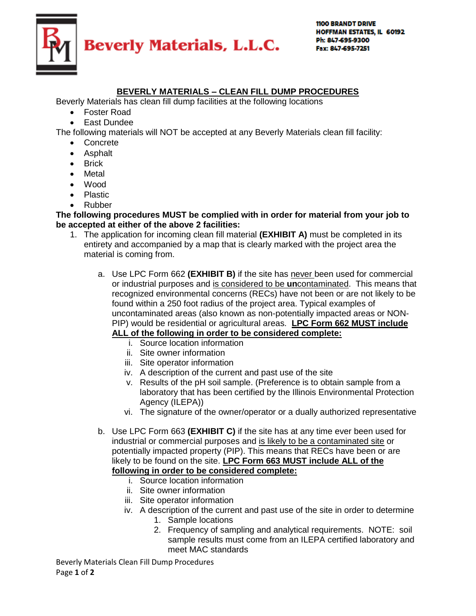

## **BEVERLY MATERIALS – CLEAN FILL DUMP PROCEDURES**

Beverly Materials has clean fill dump facilities at the following locations

- Foster Road
- East Dundee

The following materials will NOT be accepted at any Beverly Materials clean fill facility:

- Concrete
- Asphalt
- Brick
- Metal
- Wood
- Plastic
- Rubber

## **The following procedures MUST be complied with in order for material from your job to be accepted at either of the above 2 facilities:**

- 1. The application for incoming clean fill material **(EXHIBIT A)** must be completed in its entirety and accompanied by a map that is clearly marked with the project area the material is coming from.
	- a. Use LPC Form 662 **(EXHIBIT B)** if the site has never been used for commercial or industrial purposes and is considered to be **un**contaminated. This means that recognized environmental concerns (RECs) have not been or are not likely to be found within a 250 foot radius of the project area. Typical examples of uncontaminated areas (also known as non-potentially impacted areas or NON-PIP) would be residential or agricultural areas. **LPC Form 662 MUST include**

## **ALL of the following in order to be considered complete:**

- i. Source location information
- ii. Site owner information
- iii. Site operator information
- iv. A description of the current and past use of the site
- v. Results of the pH soil sample. (Preference is to obtain sample from a laboratory that has been certified by the Illinois Environmental Protection Agency (ILEPA))
- vi. The signature of the owner/operator or a dually authorized representative
- b. Use LPC Form 663 **(EXHIBIT C)** if the site has at any time ever been used for industrial or commercial purposes and is likely to be a contaminated site or potentially impacted property (PIP). This means that RECs have been or are likely to be found on the site. **LPC Form 663 MUST include ALL of the following in order to be considered complete:**
	- i. Source location information
	- ii. Site owner information
	- iii. Site operator information
	- iv. A description of the current and past use of the site in order to determine
		- 1. Sample locations
		- 2. Frequency of sampling and analytical requirements. NOTE: soil sample results must come from an ILEPA certified laboratory and meet MAC standards

Beverly Materials Clean Fill Dump Procedures Page **1** of **2**